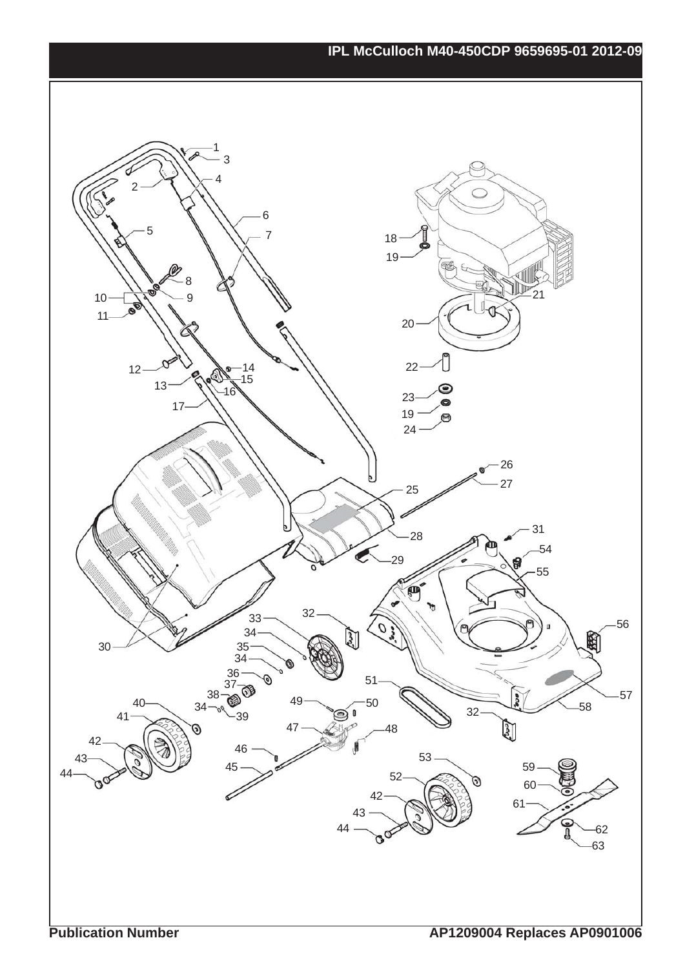